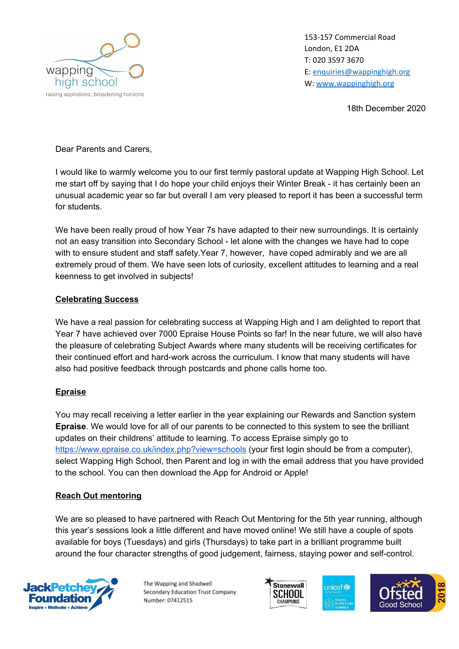

153-157 Commercial Road London, E1 2DA T: 020 3597 3670 E: [enquiries@wappinghigh.org](mailto:enquiries@wappinghigh.org) W: [www.wappinghigh.org](http://www.wappinghigh.org/)

18th December 2020

Dear Parents and Carers,

I would like to warmly welcome you to our first termly pastoral update at Wapping High School. Let me start off by saying that I do hope your child enjoys their Winter Break - it has certainly been an unusual academic year so far but overall I am very pleased to report it has been a successful term for students.

We have been really proud of how Year 7s have adapted to their new surroundings. It is certainly not an easy transition into Secondary School - let alone with the changes we have had to cope with to ensure student and staff safety.Year 7, however, have coped admirably and we are all extremely proud of them. We have seen lots of curiosity, excellent attitudes to learning and a real keenness to get involved in subjects!

#### **Celebrating Success**

We have a real passion for celebrating success at Wapping High and I am delighted to report that Year 7 have achieved over 7000 Epraise House Points so far! In the near future, we will also have the pleasure of celebrating Subject Awards where many students will be receiving certificates for their continued effort and hard-work across the curriculum. I know that many students will have also had positive feedback through postcards and phone calls home too.

### **Epraise**

You may recall receiving a letter earlier in the year explaining our Rewards and Sanction system **Epraise**. We would love for all of our parents to be connected to this system to see the brilliant updates on their childrens' attitude to learning. To access Epraise simply go to <https://www.epraise.co.uk/index.php?view=schools> (your first login should be from a computer), select Wapping High School, then Parent and log in with the email address that you have provided to the school. You can then download the App for Android or Apple!

### **Reach Out mentoring**

We are so pleased to have partnered with Reach Out Mentoring for the 5th year running, although this year's sessions look a little different and have moved online! We still have a couple of spots available for boys (Tuesdays) and girls (Thursdays) to take part in a brilliant programme built around the four character strengths of good judgement, fairness, staying power and self-control.



The Wapping and Shadwell Secondary Education Trust Company Number: 07412515